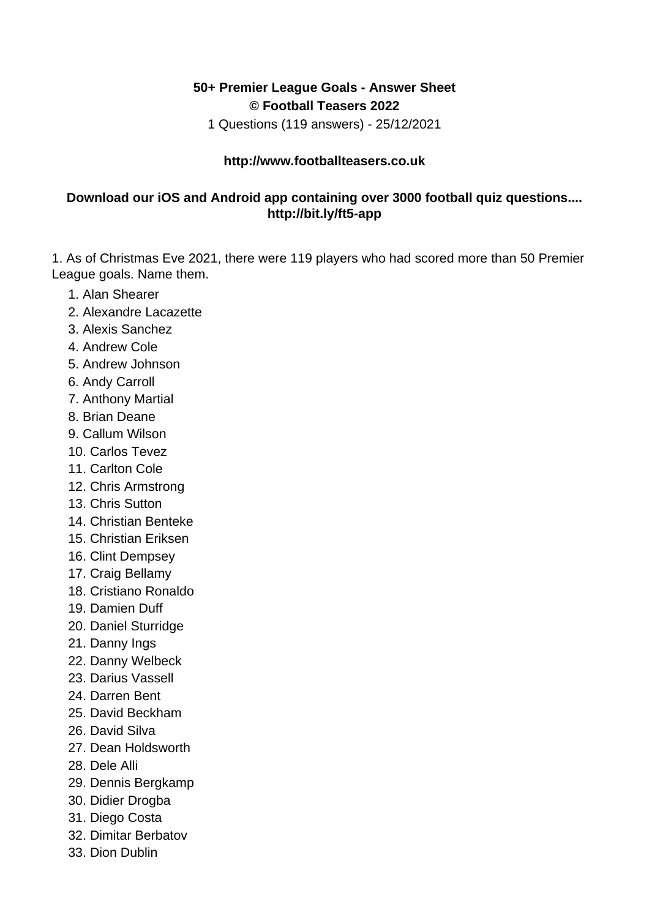## **50+ Premier League Goals - Answer Sheet © Football Teasers 2022**

1 Questions (119 answers) - 25/12/2021

## **http://www.footballteasers.co.uk**

## **Download our iOS and Android app containing over 3000 football quiz questions.... http://bit.ly/ft5-app**

1. As of Christmas Eve 2021, there were 119 players who had scored more than 50 Premier League goals. Name them.

- 1. Alan Shearer
- 2. Alexandre Lacazette
- 3. Alexis Sanchez
- 4. Andrew Cole
- 5. Andrew Johnson
- 6. Andy Carroll
- 7. Anthony Martial
- 8. Brian Deane
- 9. Callum Wilson
- 10. Carlos Tevez
- 11. Carlton Cole
- 12. Chris Armstrong
- 13. Chris Sutton
- 14. Christian Benteke
- 15. Christian Eriksen
- 16. Clint Dempsey
- 17. Craig Bellamy
- 18. Cristiano Ronaldo
- 19. Damien Duff
- 20. Daniel Sturridge
- 21. Danny Ings
- 22. Danny Welbeck
- 23. Darius Vassell
- 24. Darren Bent
- 25. David Beckham
- 26. David Silva
- 27. Dean Holdsworth
- 28. Dele Alli
- 29. Dennis Bergkamp
- 30. Didier Drogba
- 31. Diego Costa
- 32. Dimitar Berbatov
- 33. Dion Dublin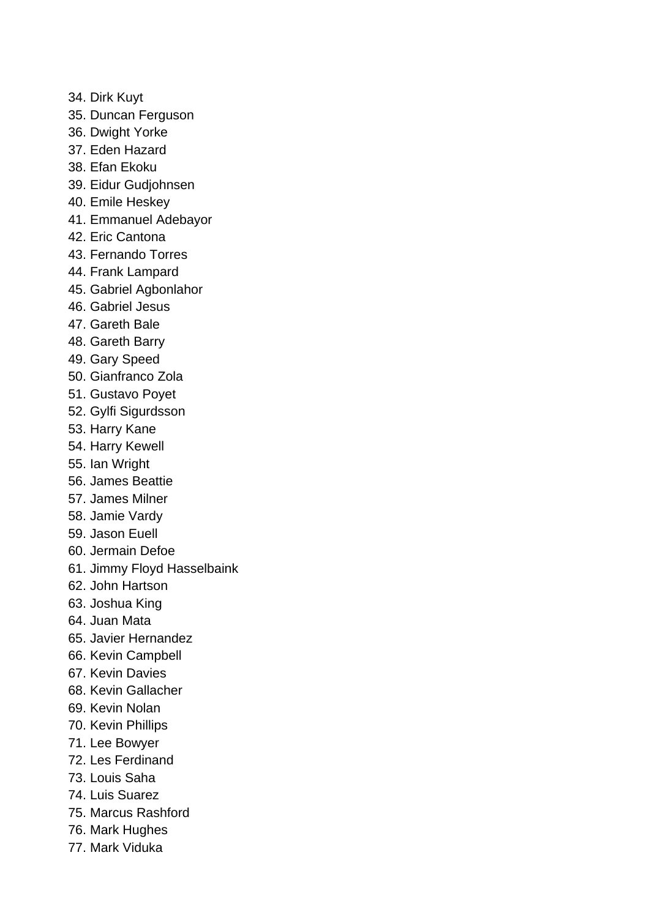- 34. Dirk Kuyt
- 35. Duncan Ferguson
- 36. Dwight Yorke
- 37. Eden Hazard
- 38. Efan Ekoku
- 39. Eidur Gudjohnsen
- 40. Emile Heskey
- 41. Emmanuel Adebayor
- 42. Eric Cantona
- 43. Fernando Torres
- 44. Frank Lampard
- 45. Gabriel Agbonlahor
- 46. Gabriel Jesus
- 47. Gareth Bale
- 48. Gareth Barry
- 49. Gary Speed
- 50. Gianfranco Zola
- 51. Gustavo Poyet
- 52. Gylfi Sigurdsson
- 53. Harry Kane
- 54. Harry Kewell
- 55. Ian Wright
- 56. James Beattie
- 57. James Milner
- 58. Jamie Vardy
- 59. Jason Euell
- 60. Jermain Defoe
- 61. Jimmy Floyd Hasselbaink
- 62. John Hartson
- 63. Joshua King
- 64. Juan Mata
- 65. Javier Hernandez
- 66. Kevin Campbell
- 67. Kevin Davies
- 68. Kevin Gallacher
- 69. Kevin Nolan
- 70. Kevin Phillips
- 71. Lee Bowyer
- 72. Les Ferdinand
- 73. Louis Saha
- 74. Luis Suarez
- 75. Marcus Rashford
- 76. Mark Hughes
- 77. Mark Viduka